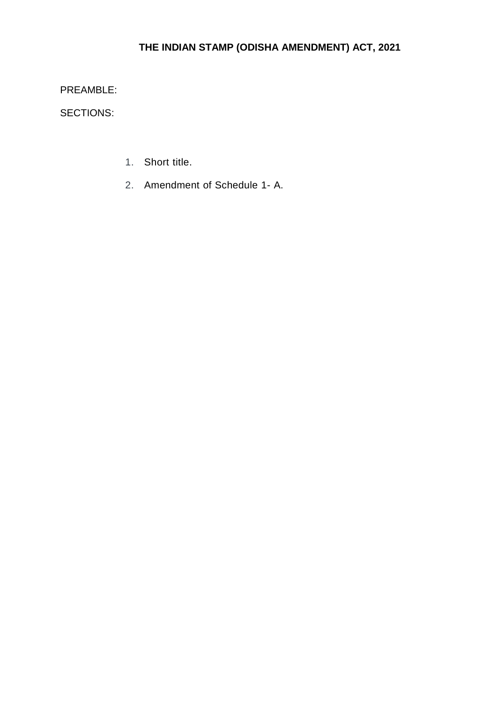# **THE INDIAN STAMP (ODISHA AMENDMENT) ACT, 2021**

PREAMBLE:

SECTIONS:

- 1. Short title.
- 2. Amendment of Schedule 1- A.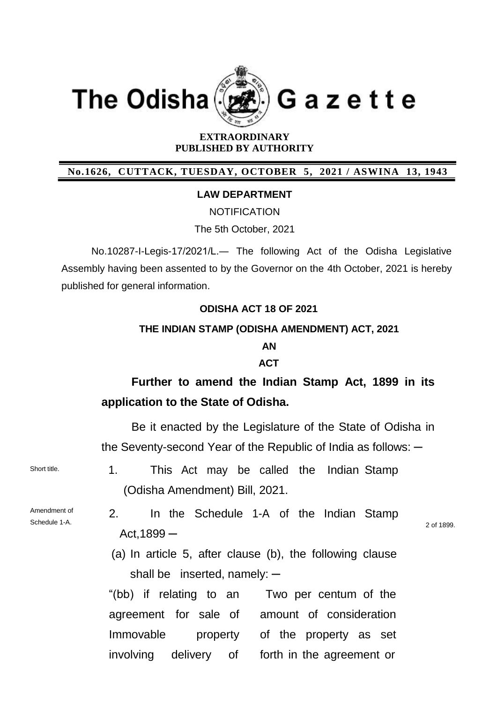



Gazette

#### **EXTRAORDINARY PUBLISHED BY AUTHORITY**

## **No.1626, CUTTACK, TUESDAY, OCTOBER 5, 2021 / ASWINA 13, 1943**

#### **LAW DEPARTMENT**

**NOTIFICATION** 

The 5th October, 2021

No.10287-I-Legis-17/2021/L.― The following Act of the Odisha Legislative Assembly having been assented to by the Governor on the 4th October, 2021 is hereby published for general information.

### **ODISHA ACT 18 OF 2021**

#### **THE INDIAN STAMP (ODISHA AMENDMENT) ACT, 2021**

### **AN**

#### **ACT**

# **Further to amend the Indian Stamp Act, 1899 in its application to the State of Odisha.**

Be it enacted by the Legislature of the State of Odisha in the Seventy-second Year of the Republic of India as follows:  $-$ 

Short title. 1. This Act may be called the Indian Stamp (Odisha Amendment) Bill, 2021.

Amendment of Schedule 1-A.

2. In the Schedule 1-A of the Indian Stamp  $Act,1899 -$ 

2 of 1899.

(a) In article 5, after clause (b), the following clause shall be inserted, namely:  $-$ 

"(bb) if relating to an agreement for sale of amount of consideration Immovable property involving delivery Two per centum of the of the property as set of forth in the agreement or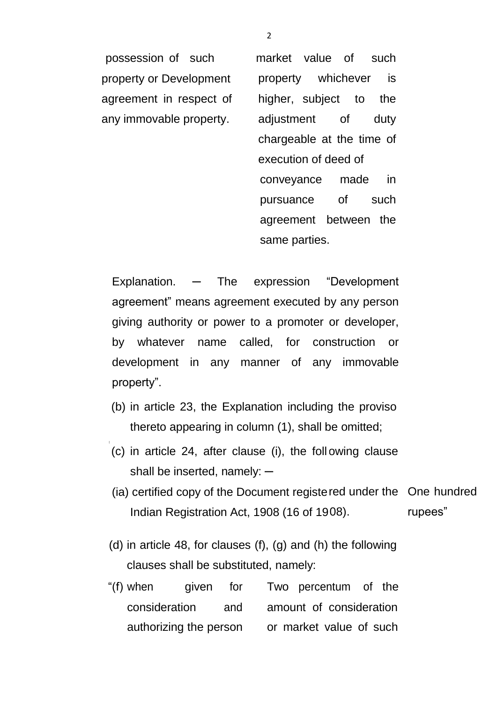property or Development agreement in respect of any immovable property.

possession of such market value of such property whichever is higher, subject to the adjustment of duty chargeable at the time of execution of deed of conveyance made in pursuance of such agreement between the same parties.

Explanation. — The expression "Development agreement" means agreement executed by any person giving authority or power to a promoter or developer, by whatever name called, for construction or development in any manner of any immovable property".

- (b) in article 23, the Explanation including the proviso thereto appearing in column (1), shall be omitted;
- (c) in article 24, after clause (i), the foll owing clause shall be inserted, namely:  $-$
- (ia) certified copy of the Document registe red under the One hundred Indian Registration Act, 1908 (16 of 19 rupees"
- (d) in article 48, for clauses (f), (g) and (h) the following clauses shall be substituted, namely:
- "(f) when given for Two percentum of the consideration and amount of consideration authorizing the person or market value of such

2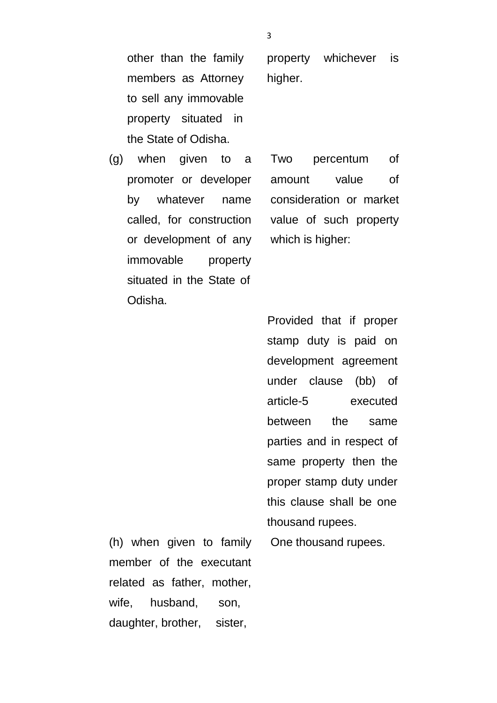other than the family members as Attorney to sell any immovable property situated in the State of Odisha.

(g) when given to a promoter or developer by whatever name called, for construction or development of any immovable property situated in the State of Odisha.

property whichever is higher.

Two percentum of amount value of consideration or market value of such property which is higher:

Provided that if proper stamp duty is paid on development agreement under clause (bb) of article-5 executed between the same parties and in respect of same property then the proper stamp duty under this clause shall be one thousand rupees.

One thousand rupees.

(h) when given to family member of the executant related as father, mother, wife, husband, son, daughter, brother, sister,